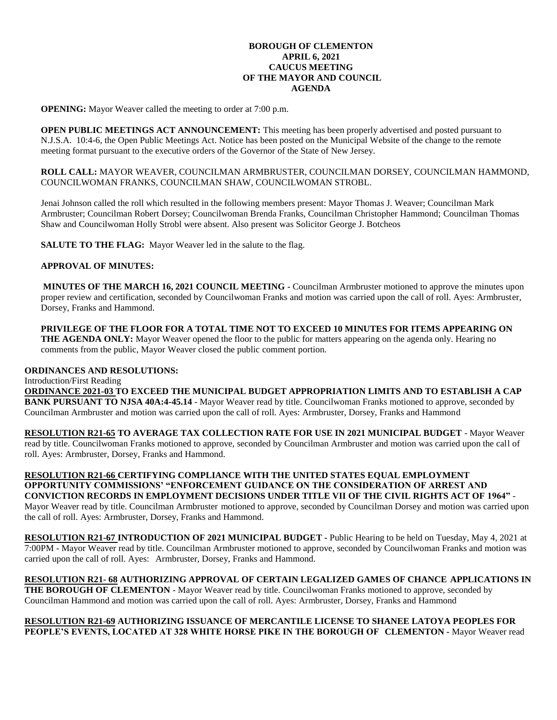## **BOROUGH OF CLEMENTON APRIL 6, 2021 CAUCUS MEETING OF THE MAYOR AND COUNCIL AGENDA**

**OPENING:** Mayor Weaver called the meeting to order at 7:00 p.m.

**OPEN PUBLIC MEETINGS ACT ANNOUNCEMENT:** This meeting has been properly advertised and posted pursuant to N.J.S.A. 10:4-6, the Open Public Meetings Act. Notice has been posted on the Municipal Website of the change to the remote meeting format pursuant to the executive orders of the Governor of the State of New Jersey.

**ROLL CALL:** MAYOR WEAVER, COUNCILMAN ARMBRUSTER, COUNCILMAN DORSEY, COUNCILMAN HAMMOND, COUNCILWOMAN FRANKS, COUNCILMAN SHAW, COUNCILWOMAN STROBL.

Jenai Johnson called the roll which resulted in the following members present: Mayor Thomas J. Weaver; Councilman Mark Armbruster; Councilman Robert Dorsey; Councilwoman Brenda Franks, Councilman Christopher Hammond; Councilman Thomas Shaw and Councilwoman Holly Strobl were absent. Also present was Solicitor George J. Botcheos

**SALUTE TO THE FLAG:** Mayor Weaver led in the salute to the flag.

## **APPROVAL OF MINUTES:**

**MINUTES OF THE MARCH 16, 2021 COUNCIL MEETING -** Councilman Armbruster motioned to approve the minutes upon proper review and certification, seconded by Councilwoman Franks and motion was carried upon the call of roll. Ayes: Armbruster, Dorsey, Franks and Hammond.

**PRIVILEGE OF THE FLOOR FOR A TOTAL TIME NOT TO EXCEED 10 MINUTES FOR ITEMS APPEARING ON THE AGENDA ONLY:** Mayor Weaver opened the floor to the public for matters appearing on the agenda only. Hearing no comments from the public, Mayor Weaver closed the public comment portion.

# **ORDINANCES AND RESOLUTIONS:**

Introduction/First Reading **ORDINANCE 2021-03 TO EXCEED THE MUNICIPAL BUDGET APPROPRIATION LIMITS AND TO ESTABLISH A CAP BANK PURSUANT TO NJSA 40A:4-45.14** - Mayor Weaver read by title. Councilwoman Franks motioned to approve, seconded by Councilman Armbruster and motion was carried upon the call of roll. Ayes: Armbruster, Dorsey, Franks and Hammond

**RESOLUTION R21-65 TO AVERAGE TAX COLLECTION RATE FOR USE IN 2021 MUNICIPAL BUDGET** - Mayor Weaver read by title. Councilwoman Franks motioned to approve, seconded by Councilman Armbruster and motion was carried upon the call of roll. Ayes: Armbruster, Dorsey, Franks and Hammond.

**RESOLUTION R21-66 CERTIFYING COMPLIANCE WITH THE UNITED STATES EQUAL EMPLOYMENT OPPORTUNITY COMMISSIONS' "ENFORCEMENT GUIDANCE ON THE CONSIDERATION OF ARREST AND CONVICTION RECORDS IN EMPLOYMENT DECISIONS UNDER TITLE VII OF THE CIVIL RIGHTS ACT OF 1964"** - Mayor Weaver read by title. Councilman Armbruster motioned to approve, seconded by Councilman Dorsey and motion was carried upon the call of roll. Ayes: Armbruster, Dorsey, Franks and Hammond.

**RESOLUTION R21-67 INTRODUCTION OF 2021 MUNICIPAL BUDGET -** Public Hearing to be held on Tuesday, May 4, 2021 at 7:00PM - Mayor Weaver read by title. Councilman Armbruster motioned to approve, seconded by Councilwoman Franks and motion was carried upon the call of roll. Ayes: Armbruster, Dorsey, Franks and Hammond.

# **RESOLUTION R21- 68 AUTHORIZING APPROVAL OF CERTAIN LEGALIZED GAMES OF CHANCE APPLICATIONS IN**

**THE BOROUGH OF CLEMENTON** - Mayor Weaver read by title. Councilwoman Franks motioned to approve, seconded by Councilman Hammond and motion was carried upon the call of roll. Ayes: Armbruster, Dorsey, Franks and Hammond

#### **RESOLUTION R21-69 AUTHORIZING ISSUANCE OF MERCANTILE LICENSE TO SHANEE LATOYA PEOPLES FOR PEOPLE'S EVENTS, LOCATED AT 328 WHITE HORSE PIKE IN THE BOROUGH OF CLEMENTON -** Mayor Weaver read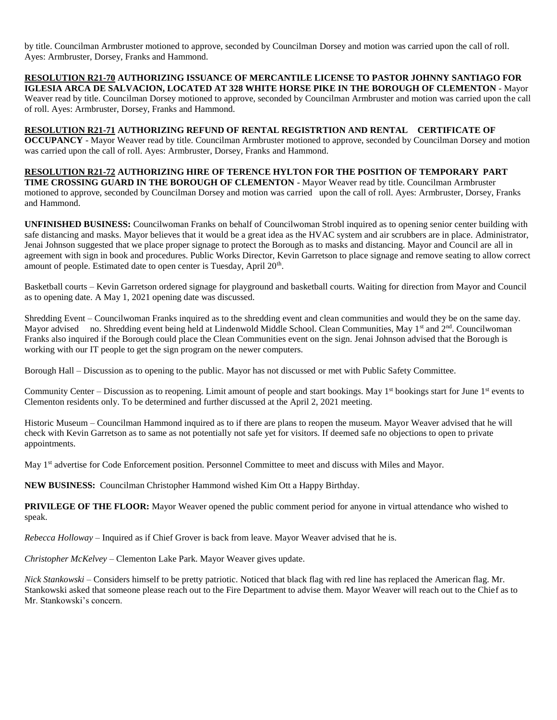by title. Councilman Armbruster motioned to approve, seconded by Councilman Dorsey and motion was carried upon the call of roll. Ayes: Armbruster, Dorsey, Franks and Hammond.

**RESOLUTION R21-70 AUTHORIZING ISSUANCE OF MERCANTILE LICENSE TO PASTOR JOHNNY SANTIAGO FOR IGLESIA ARCA DE SALVACION, LOCATED AT 328 WHITE HORSE PIKE IN THE BOROUGH OF CLEMENTON** - Mayor Weaver read by title. Councilman Dorsey motioned to approve, seconded by Councilman Armbruster and motion was carried upon the call of roll. Ayes: Armbruster, Dorsey, Franks and Hammond.

**RESOLUTION R21-71 AUTHORIZING REFUND OF RENTAL REGISTRTION AND RENTAL CERTIFICATE OF OCCUPANCY** - Mayor Weaver read by title. Councilman Armbruster motioned to approve, seconded by Councilman Dorsey and motion was carried upon the call of roll. Ayes: Armbruster, Dorsey, Franks and Hammond.

**RESOLUTION R21-72 AUTHORIZING HIRE OF TERENCE HYLTON FOR THE POSITION OF TEMPORARY PART TIME CROSSING GUARD IN THE BOROUGH OF CLEMENTON** - Mayor Weaver read by title. Councilman Armbruster motioned to approve, seconded by Councilman Dorsey and motion was carried upon the call of roll. Ayes: Armbruster, Dorsey, Franks and Hammond.

**UNFINISHED BUSINESS:** Councilwoman Franks on behalf of Councilwoman Strobl inquired as to opening senior center building with safe distancing and masks. Mayor believes that it would be a great idea as the HVAC system and air scrubbers are in place. Administrator, Jenai Johnson suggested that we place proper signage to protect the Borough as to masks and distancing. Mayor and Council are all in agreement with sign in book and procedures. Public Works Director, Kevin Garretson to place signage and remove seating to allow correct amount of people. Estimated date to open center is Tuesday, April 20<sup>th</sup>.

Basketball courts – Kevin Garretson ordered signage for playground and basketball courts. Waiting for direction from Mayor and Council as to opening date. A May 1, 2021 opening date was discussed.

Shredding Event – Councilwoman Franks inquired as to the shredding event and clean communities and would they be on the same day. Mayor advised no. Shredding event being held at Lindenwold Middle School. Clean Communities, May  $1<sup>st</sup>$  and  $2<sup>nd</sup>$ . Councilwoman Franks also inquired if the Borough could place the Clean Communities event on the sign. Jenai Johnson advised that the Borough is working with our IT people to get the sign program on the newer computers.

Borough Hall – Discussion as to opening to the public. Mayor has not discussed or met with Public Safety Committee.

Community Center – Discussion as to reopening. Limit amount of people and start bookings. May  $1<sup>st</sup>$  bookings start for June  $1<sup>st</sup>$  events to Clementon residents only. To be determined and further discussed at the April 2, 2021 meeting.

Historic Museum – Councilman Hammond inquired as to if there are plans to reopen the museum. Mayor Weaver advised that he will check with Kevin Garretson as to same as not potentially not safe yet for visitors. If deemed safe no objections to open to private appointments.

May 1<sup>st</sup> advertise for Code Enforcement position. Personnel Committee to meet and discuss with Miles and Mayor.

**NEW BUSINESS:** Councilman Christopher Hammond wished Kim Ott a Happy Birthday.

**PRIVILEGE OF THE FLOOR:** Mayor Weaver opened the public comment period for anyone in virtual attendance who wished to speak.

*Rebecca Holloway* – Inquired as if Chief Grover is back from leave. Mayor Weaver advised that he is.

*Christopher McKelvey* – Clementon Lake Park. Mayor Weaver gives update.

*Nick Stankowski* – Considers himself to be pretty patriotic. Noticed that black flag with red line has replaced the American flag. Mr. Stankowski asked that someone please reach out to the Fire Department to advise them. Mayor Weaver will reach out to the Chief as to Mr. Stankowski's concern.